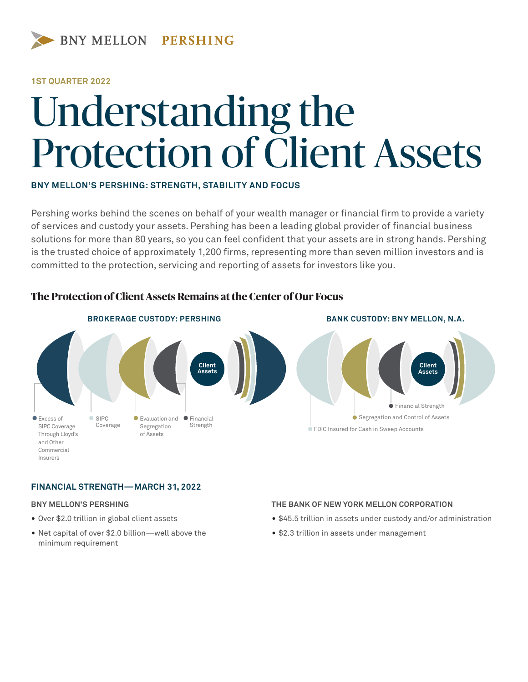

#### **1ST QUARTER 2022**

# Understanding the Protection of Client Assets

#### **BNY MELLON'S PERSHING: STRENGTH, STABILITY AND FOCUS**

Pershing works behind the scenes on behalf of your wealth manager or financial firm to provide a variety of services and custody your assets. Pershing has been a leading global provider of financial business solutions for more than 80 years, so you can feel confident that your assets are in strong hands. Pershing is the trusted choice of approximately 1,200 firms, representing more than seven million investors and is committed to the protection, servicing and reporting of assets for investors like you.



## **The Protection of Client Assets Remains at the Center of Our Focus**

#### **FINANCIAL STRENGTH—MARCH 31, 2022**

#### **BNY MELLON'S PERSHING**

- Over \$2.0 trillion in global client assets
- Net capital of over \$2.0 billion—well above the minimum requirement

#### **THE BANK OF NEW YORK MELLON CORPORATION**

- \$45.5 trillion in assets under custody and/or administration
- \$2.3 trillion in assets under management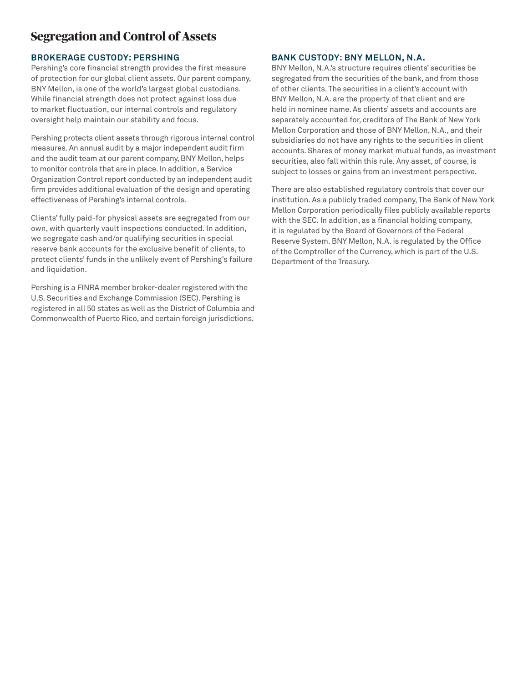## **Segregation and Control of Assets**

#### **BROKERAGE CUSTODY: PERSHING**

Pershing's core financial strength provides the first measure of protection for our global client assets. Our parent company, BNY Mellon, is one of the world's largest global custodians. While financial strength does not protect against loss due to market fluctuation, our internal controls and regulatory oversight help maintain our stability and focus.

Pershing protects client assets through rigorous internal control measures. An annual audit by a major independent audit firm and the audit team at our parent company, BNY Mellon, helps to monitor controls that are in place. In addition, a Service Organization Control report conducted by an independent audit firm provides additional evaluation of the design and operating effectiveness of Pershing's internal controls.

Clients' fully paid-for physical assets are segregated from our own, with quarterly vault inspections conducted. In addition, we segregate cash and/or qualifying securities in special reserve bank accounts for the exclusive benefit of clients, to protect clients' funds in the unlikely event of Pershing's failure and liquidation.

Pershing is a FINRA member broker-dealer registered with the U.S. Securities and Exchange Commission (SEC). Pershing is registered in all 50 states as well as the District of Columbia and Commonwealth of Puerto Rico, and certain foreign jurisdictions.

#### **BANK CUSTODY: BNY MELLON, N.A.**

BNY Mellon, N.A.'s structure requires clients' securities be segregated from the securities of the bank, and from those of other clients. The securities in a client's account with BNY Mellon, N.A. are the property of that client and are held in nominee name. As clients' assets and accounts are separately accounted for, creditors of The Bank of New York Mellon Corporation and those of BNY Mellon, N.A., and their subsidiaries do not have any rights to the securities in client accounts. Shares of money market mutual funds, as investment securities, also fall within this rule. Any asset, of course, is subject to losses or gains from an investment perspective.

There are also established regulatory controls that cover our institution. As a publicly traded company, The Bank of New York Mellon Corporation periodically files publicly available reports with the SEC. In addition, as a financial holding company, it is regulated by the Board of Governors of the Federal Reserve System. BNY Mellon, N.A. is regulated by the Office of the Comptroller of the Currency, which is part of the U.S. Department of the Treasury.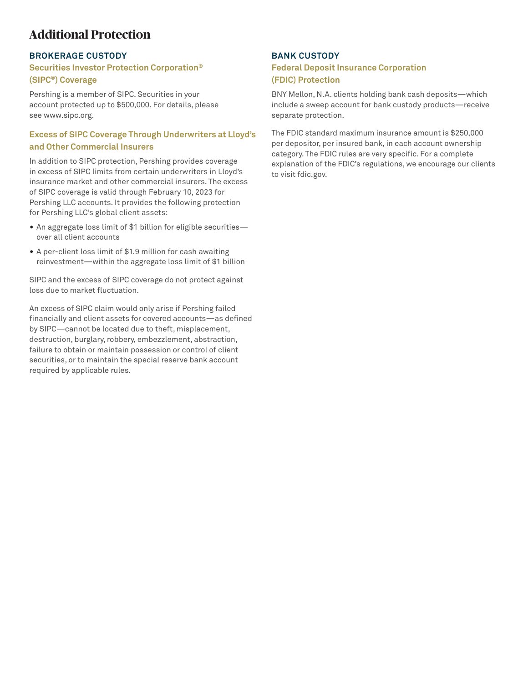# **Additional Protection**

#### **BROKERAGE CUSTODY**

#### **Securities Investor Protection Corporation® (SIPC®) Coverage**

Pershing is a member of SIPC. Securities in your account protected up to \$500,000. For details, please see www.sipc.org.

### **Excess of SIPC Coverage Through Underwriters at Lloyd's and Other Commercial Insurers**

In addition to SIPC protection, Pershing provides coverage in excess of SIPC limits from certain underwriters in Lloyd's insurance market and other commercial insurers. The excess of SIPC coverage is valid through February 10, 2023 for Pershing LLC accounts. It provides the following protection for Pershing LLC's global client assets:

- An aggregate loss limit of \$1 billion for eligible securities over all client accounts
- A per-client loss limit of \$1.9 million for cash awaiting reinvestment—within the aggregate loss limit of \$1 billion

SIPC and the excess of SIPC coverage do not protect against loss due to market fluctuation.

An excess of SIPC claim would only arise if Pershing failed financially and client assets for covered accounts—as defined by SIPC—cannot be located due to theft, misplacement, destruction, burglary, robbery, embezzlement, abstraction, failure to obtain or maintain possession or control of client securities, or to maintain the special reserve bank account required by applicable rules.

#### **BANK CUSTODY**

#### **Federal Deposit Insurance Corporation (FDIC) Protection**

BNY Mellon, N.A. clients holding bank cash deposits—which include a sweep account for bank custody products—receive separate protection.

The FDIC standard maximum insurance amount is \$250,000 per depositor, per insured bank, in each account ownership category. The FDIC rules are very specific. For a complete explanation of the FDIC's regulations, we encourage our clients to visit fdic.gov.